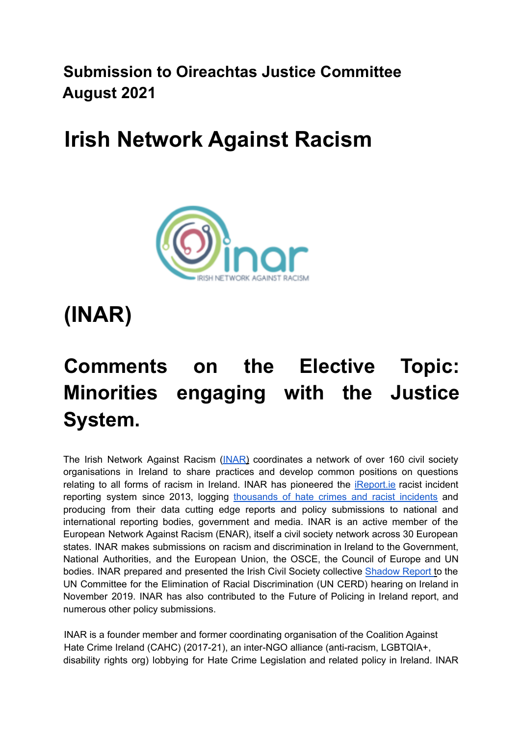**Submission to Oireachtas Justice Committee August 2021**

### **Irish Network Against Racism**



# **(INAR)**

## **Comments on the Elective Topic: Minorities engaging with the Justice System.**

The Irish Network Against Racism (INAR) coordinates a network of over 160 civil society organisations in Ireland to share practices and develop common positions on questions relating to all forms of racism in Ireland. INAR has pioneered the iReport.ie racist incident reporting system since 2013, logging thousands of hate crimes and racist incidents and producing from their data cutting edge reports and policy submissions to national and international reporting bodies, government and media. INAR is an active member of the European Network Against Racism (ENAR), itself a civil society network across 30 European states. INAR makes submissions on racism and discrimination in Ireland to the Government, National Authorities, and the European Union, the OSCE, the Council of Europe and UN bodies. INAR prepared and presented the Irish Civil Society collective Shadow Report to the UN Committee for the Elimination of Racial Discrimination (UN CERD) hearing on Ireland in November 2019. INAR has also contributed to the Future of Policing in Ireland report, and numerous other policy submissions.

INAR is a founder member and former coordinating organisation of the Coalition Against Hate Crime Ireland (CAHC) (2017-21), an inter-NGO alliance (anti-racism, LGBTQIA+, disability rights org) lobbying for Hate Crime Legislation and related policy in Ireland. INAR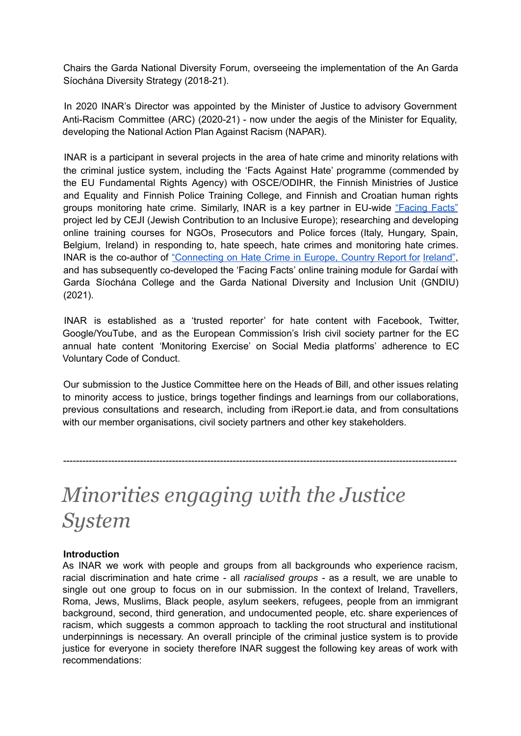Chairs the Garda National Diversity Forum, overseeing the implementation of the An Garda Síochána Diversity Strategy (2018-21).

In 2020 INAR's Director was appointed by the Minister of Justice to advisory Government Anti-Racism Committee (ARC) (2020-21) - now under the aegis of the Minister for Equality, developing the National Action Plan Against Racism (NAPAR).

INAR is a participant in several projects in the area of hate crime and minority relations with the criminal justice system, including the 'Facts Against Hate' programme (commended by the EU Fundamental Rights Agency) with OSCE/ODIHR, the Finnish Ministries of Justice and Equality and Finnish Police Training College, and Finnish and Croatian human rights groups monitoring hate crime. Similarly, INAR is a key partner in EU-wide "Facing Facts" project led by CEJI (Jewish Contribution to an Inclusive Europe); researching and developing online training courses for NGOs, Prosecutors and Police forces (Italy, Hungary, Spain, Belgium, Ireland) in responding to, hate speech, hate crimes and monitoring hate crimes. INAR is the co-author of "Connecting on Hate Crime in Europe, Country Report for Ireland", and has subsequently co-developed the 'Facing Facts' online training module for Gardaí with Garda Síochána College and the Garda National Diversity and Inclusion Unit (GNDIU) (2021).

INAR is established as a 'trusted reporter' for hate content with Facebook, Twitter, Google/YouTube, and as the European Commission's Irish civil society partner for the EC annual hate content 'Monitoring Exercise' on Social Media platforms' adherence to EC Voluntary Code of Conduct.

Our submission to the Justice Committee here on the Heads of Bill, and other issues relating to minority access to justice, brings together findings and learnings from our collaborations, previous consultations and research, including from iReport.ie data, and from consultations with our member organisations, civil society partners and other key stakeholders.

---------------------------------------------------------------------------------------------------------------------------

### *Minorities engaging with the Justice System*

#### **Introduction**

As INAR we work with people and groups from all backgrounds who experience racism, racial discrimination and hate crime - all *racialised groups -* as a result, we are unable to single out one group to focus on in our submission. In the context of Ireland, Travellers, Roma, Jews, Muslims, Black people, asylum seekers, refugees, people from an immigrant background, second, third generation, and undocumented people, etc. share experiences of racism, which suggests a common approach to tackling the root structural and institutional underpinnings is necessary. An overall principle of the criminal justice system is to provide justice for everyone in society therefore INAR suggest the following key areas of work with recommendations: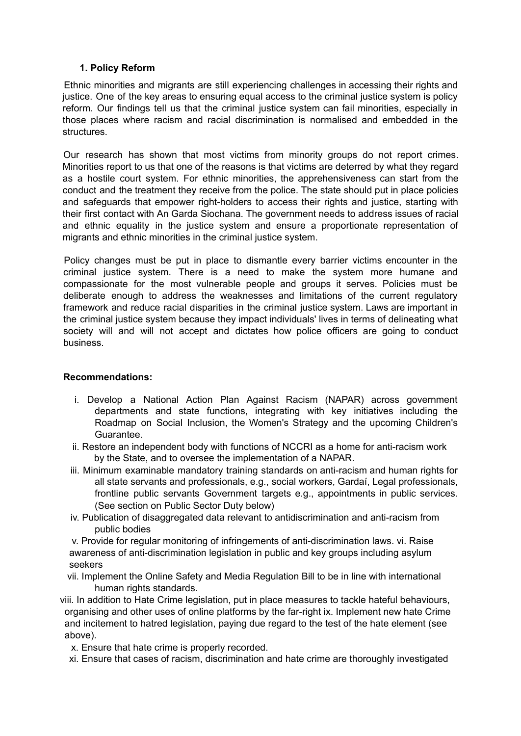#### **1. Policy Reform**

Ethnic minorities and migrants are still experiencing challenges in accessing their rights and justice. One of the key areas to ensuring equal access to the criminal justice system is policy reform. Our findings tell us that the criminal justice system can fail minorities, especially in those places where racism and racial discrimination is normalised and embedded in the **structures** 

Our research has shown that most victims from minority groups do not report crimes. Minorities report to us that one of the reasons is that victims are deterred by what they regard as a hostile court system. For ethnic minorities, the apprehensiveness can start from the conduct and the treatment they receive from the police. The state should put in place policies and safeguards that empower right-holders to access their rights and justice, starting with their first contact with An Garda Siochana. The government needs to address issues of racial and ethnic equality in the justice system and ensure a proportionate representation of migrants and ethnic minorities in the criminal justice system.

Policy changes must be put in place to dismantle every barrier victims encounter in the criminal justice system. There is a need to make the system more humane and compassionate for the most vulnerable people and groups it serves. Policies must be deliberate enough to address the weaknesses and limitations of the current regulatory framework and reduce racial disparities in the criminal justice system. Laws are important in the criminal justice system because they impact individuals' lives in terms of delineating what society will and will not accept and dictates how police officers are going to conduct business.

#### **Recommendations:**

- i. Develop a National Action Plan Against Racism (NAPAR) across government departments and state functions, integrating with key initiatives including the Roadmap on Social Inclusion, the Women's Strategy and the upcoming Children's Guarantee.
- ii. Restore an independent body with functions of NCCRI as a home for anti-racism work by the State, and to oversee the implementation of a NAPAR.
- iii. Minimum examinable mandatory training standards on anti-racism and human rights for all state servants and professionals, e.g., social workers, Gardaí, Legal professionals, frontline public servants Government targets e.g., appointments in public services. (See section on Public Sector Duty below)
- iv. Publication of disaggregated data relevant to antidiscrimination and anti-racism from public bodies

v. Provide for regular monitoring of infringements of anti-discrimination laws. vi. Raise awareness of anti-discrimination legislation in public and key groups including asylum seekers

- vii. Implement the Online Safety and Media Regulation Bill to be in line with international human rights standards.
- viii. In addition to Hate Crime legislation, put in place measures to tackle hateful behaviours, organising and other uses of online platforms by the far-right ix. Implement new hate Crime and incitement to hatred legislation, paying due regard to the test of the hate element (see above).
	- x. Ensure that hate crime is properly recorded.
	- xi. Ensure that cases of racism, discrimination and hate crime are thoroughly investigated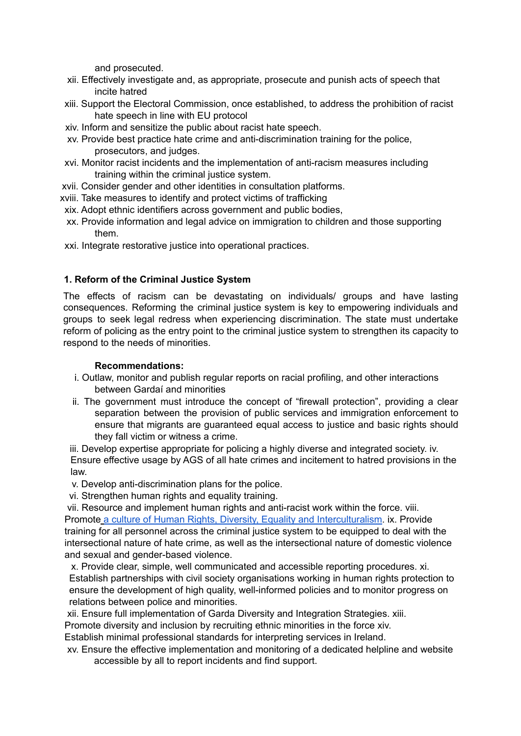and prosecuted.

- xii. Effectively investigate and, as appropriate, prosecute and punish acts of speech that incite hatred
- xiii. Support the Electoral Commission, once established, to address the prohibition of racist hate speech in line with EU protocol
- xiv. Inform and sensitize the public about racist hate speech.
- xv. Provide best practice hate crime and anti-discrimination training for the police, prosecutors, and judges.
- xvi. Monitor racist incidents and the implementation of anti-racism measures including training within the criminal justice system.
- xvii. Consider gender and other identities in consultation platforms.
- xviii. Take measures to identify and protect victims of trafficking
- xix. Adopt ethnic identifiers across government and public bodies,
- xx. Provide information and legal advice on immigration to children and those supporting them.
- xxi. Integrate restorative justice into operational practices.

#### **1. Reform of the Criminal Justice System**

The effects of racism can be devastating on individuals/ groups and have lasting consequences. Reforming the criminal justice system is key to empowering individuals and groups to seek legal redress when experiencing discrimination. The state must undertake reform of policing as the entry point to the criminal justice system to strengthen its capacity to respond to the needs of minorities.

#### **Recommendations:**

- i. Outlaw, monitor and publish regular reports on racial profiling, and other interactions between Gardaí and minorities
- ii. The government must introduce the concept of "firewall protection", providing a clear separation between the provision of public services and immigration enforcement to ensure that migrants are guaranteed equal access to justice and basic rights should they fall victim or witness a crime.

iii. Develop expertise appropriate for policing a highly diverse and integrated society. iv. Ensure effective usage by AGS of all hate crimes and incitement to hatred provisions in the law.

- v. Develop anti-discrimination plans for the police.
- vi. Strengthen human rights and equality training.

vii. Resource and implement human rights and anti-racist work within the force. viii. Promote a culture of Human Rights, Diversity, Equality and Interculturalism. ix. Provide training for all personnel across the criminal justice system to be equipped to deal with the intersectional nature of hate crime, as well as the intersectional nature of domestic violence and sexual and gender-based violence.

x. Provide clear, simple, well communicated and accessible reporting procedures. xi. Establish partnerships with civil society organisations working in human rights protection to ensure the development of high quality, well-informed policies and to monitor progress on relations between police and minorities.

xii. Ensure full implementation of Garda Diversity and Integration Strategies. xiii. Promote diversity and inclusion by recruiting ethnic minorities in the force xiv.

Establish minimal professional standards for interpreting services in Ireland.

xv. Ensure the effective implementation and monitoring of a dedicated helpline and website accessible by all to report incidents and find support.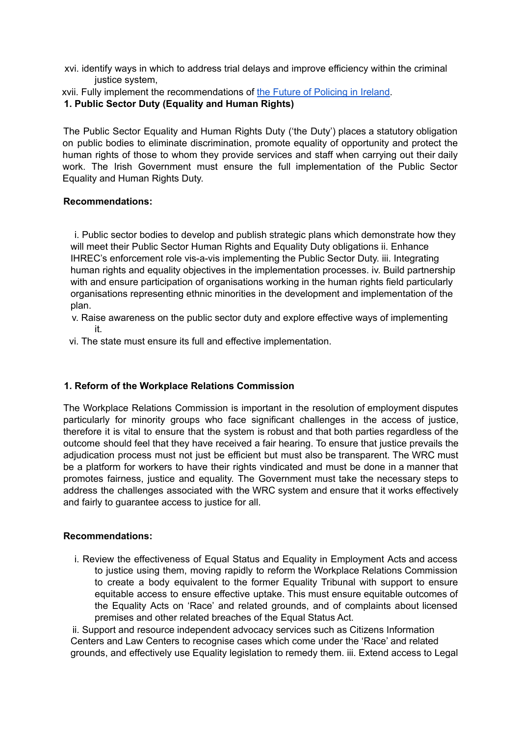xvi. identify ways in which to address trial delays and improve efficiency within the criminal justice system,

xvii. Fully implement the recommendations of the Future of Policing in Ireland.

#### **1. Public Sector Duty (Equality and Human Rights)**

The Public Sector Equality and Human Rights Duty ('the Duty') places a statutory obligation on public bodies to eliminate discrimination, promote equality of opportunity and protect the human rights of those to whom they provide services and staff when carrying out their daily work. The Irish Government must ensure the full implementation of the Public Sector Equality and Human Rights Duty.

#### **Recommendations:**

i. Public sector bodies to develop and publish strategic plans which demonstrate how they will meet their Public Sector Human Rights and Equality Duty obligations ii. Enhance IHREC's enforcement role vis-a-vis implementing the Public Sector Duty. iii. Integrating human rights and equality objectives in the implementation processes. iv. Build partnership with and ensure participation of organisations working in the human rights field particularly organisations representing ethnic minorities in the development and implementation of the plan.

- v. Raise awareness on the public sector duty and explore effective ways of implementing it.
- vi. The state must ensure its full and effective implementation.

#### **1. Reform of the Workplace Relations Commission**

The Workplace Relations Commission is important in the resolution of employment disputes particularly for minority groups who face significant challenges in the access of justice, therefore it is vital to ensure that the system is robust and that both parties regardless of the outcome should feel that they have received a fair hearing. To ensure that justice prevails the adjudication process must not just be efficient but must also be transparent. The WRC must be a platform for workers to have their rights vindicated and must be done in a manner that promotes fairness, justice and equality. The Government must take the necessary steps to address the challenges associated with the WRC system and ensure that it works effectively and fairly to guarantee access to justice for all.

#### **Recommendations:**

i. Review the effectiveness of Equal Status and Equality in Employment Acts and access to justice using them, moving rapidly to reform the Workplace Relations Commission to create a body equivalent to the former Equality Tribunal with support to ensure equitable access to ensure effective uptake. This must ensure equitable outcomes of the Equality Acts on 'Race' and related grounds, and of complaints about licensed premises and other related breaches of the Equal Status Act.

ii. Support and resource independent advocacy services such as Citizens Information Centers and Law Centers to recognise cases which come under the 'Race' and related grounds, and effectively use Equality legislation to remedy them. iii. Extend access to Legal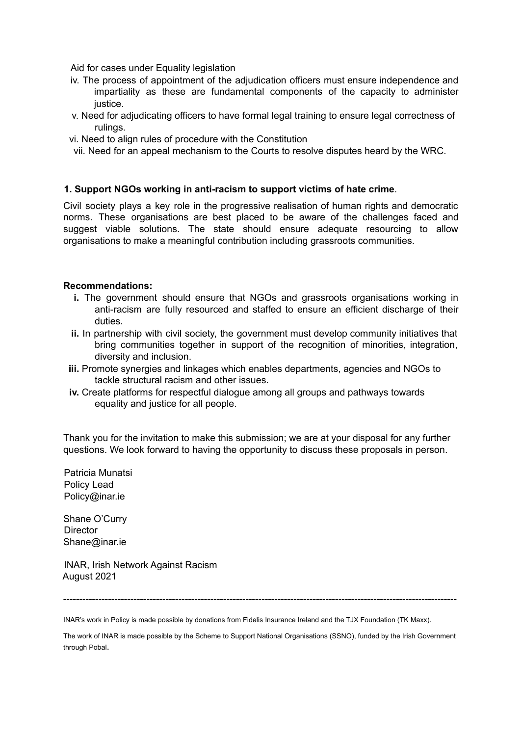Aid for cases under Equality legislation

- iv. The process of appointment of the adjudication officers must ensure independence and impartiality as these are fundamental components of the capacity to administer justice.
- v. Need for adjudicating officers to have formal legal training to ensure legal correctness of rulings.
- vi. Need to align rules of procedure with the Constitution
- vii. Need for an appeal mechanism to the Courts to resolve disputes heard by the WRC.

#### **1. Support NGOs working in anti-racism to support victims of hate crime**.

Civil society plays a key role in the progressive realisation of human rights and democratic norms. These organisations are best placed to be aware of the challenges faced and suggest viable solutions. The state should ensure adequate resourcing to allow organisations to make a meaningful contribution including grassroots communities.

#### **Recommendations:**

- **i.** The government should ensure that NGOs and grassroots organisations working in anti-racism are fully resourced and staffed to ensure an efficient discharge of their duties.
- **ii.** In partnership with civil society, the government must develop community initiatives that bring communities together in support of the recognition of minorities, integration, diversity and inclusion.
- **iii.** Promote synergies and linkages which enables departments, agencies and NGOs to tackle structural racism and other issues.
- **iv.** Create platforms for respectful dialogue among all groups and pathways towards equality and justice for all people.

Thank you for the invitation to make this submission; we are at your disposal for any further questions. We look forward to having the opportunity to discuss these proposals in person.

Patricia Munatsi Policy Lead Policy@inar.ie

Shane O'Curry **Director** Shane@inar.ie

INAR, Irish Network Against Racism August 2021

---------------------------------------------------------------------------------------------------------------------------

INAR's work in Policy is made possible by donations from Fidelis Insurance Ireland and the TJX Foundation (TK Maxx).

The work of INAR is made possible by the Scheme to Support National Organisations (SSNO), funded by the Irish Government through Pobal.